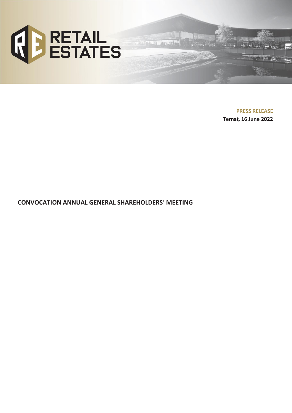

**PRESS RELEASE Ternat, 16 June 2022**

**CONVOCATION ANNUAL GENERAL SHAREHOLDERS**' **MEETING**

inter 1964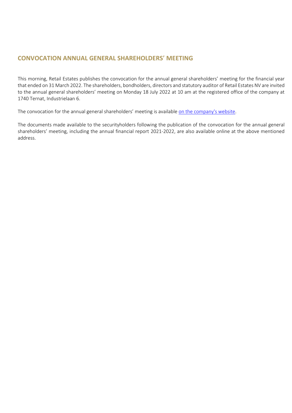# **CONVOCATION ANNUAL GENERAL SHAREHOLDERS**' **MEETING**

This morning, Retail Estates publishes the convocation for the annual general shareholders' meeting for the financial year that ended on 31 March 2022. The shareholders, bondholders, directors and statutory auditor of Retail Estates NV are invited to the annual general shareholders' meeting on Monday 18 July 2022 at 10 am at the registered office of the company at 1740 Ternat, Industrielaan 6.

The convocation for the annual general shareholders' meeting is available [on the company's website.](https://www.retailestates.com/en/investors/shareholders-agenda/extraordinary-general-meeting)

The documents made available to the securityholders following the publication of the convocation for the annual general shareholders' meeting, including the annual financial report 2021-2022, are also available online at the above mentioned address.